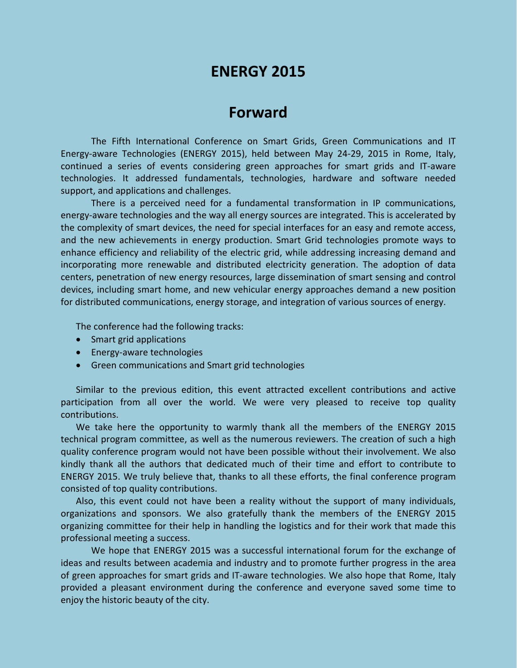# **ENERGY 2015**

## **Forward**

The Fifth International Conference on Smart Grids, Green Communications and IT Energy-aware Technologies (ENERGY 2015), held between May 24-29, 2015 in Rome, Italy, continued a series of events considering green approaches for smart grids and IT-aware technologies. It addressed fundamentals, technologies, hardware and software needed support, and applications and challenges.

There is a perceived need for a fundamental transformation in IP communications, energy-aware technologies and the way all energy sources are integrated. This is accelerated by the complexity of smart devices, the need for special interfaces for an easy and remote access, and the new achievements in energy production. Smart Grid technologies promote ways to enhance efficiency and reliability of the electric grid, while addressing increasing demand and incorporating more renewable and distributed electricity generation. The adoption of data centers, penetration of new energy resources, large dissemination of smart sensing and control devices, including smart home, and new vehicular energy approaches demand a new position for distributed communications, energy storage, and integration of various sources of energy.

The conference had the following tracks:

- Smart grid applications
- Energy-aware technologies
- Green communications and Smart grid technologies

Similar to the previous edition, this event attracted excellent contributions and active participation from all over the world. We were very pleased to receive top quality contributions.

We take here the opportunity to warmly thank all the members of the ENERGY 2015 technical program committee, as well as the numerous reviewers. The creation of such a high quality conference program would not have been possible without their involvement. We also kindly thank all the authors that dedicated much of their time and effort to contribute to ENERGY 2015. We truly believe that, thanks to all these efforts, the final conference program consisted of top quality contributions.

Also, this event could not have been a reality without the support of many individuals, organizations and sponsors. We also gratefully thank the members of the ENERGY 2015 organizing committee for their help in handling the logistics and for their work that made this professional meeting a success.

We hope that ENERGY 2015 was a successful international forum for the exchange of ideas and results between academia and industry and to promote further progress in the area of green approaches for smart grids and IT-aware technologies. We also hope that Rome, Italy provided a pleasant environment during the conference and everyone saved some time to enjoy the historic beauty of the city.